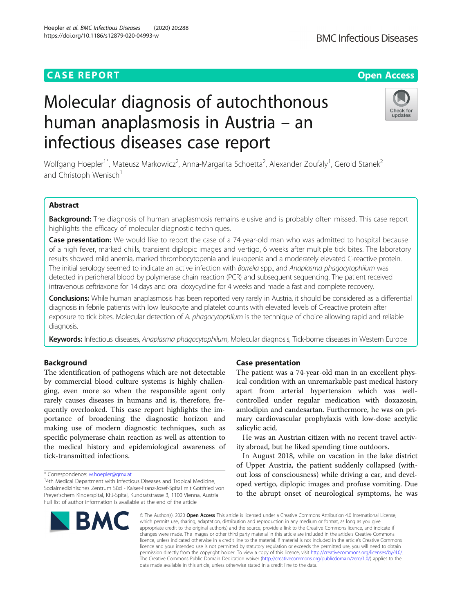# **CASE REPORT CASE ACCESS**

# Molecular diagnosis of autochthonous human anaplasmosis in Austria – an infectious diseases case report

Wolfgang Hoepler<sup>1\*</sup>, Mateusz Markowicz<sup>2</sup>, Anna-Margarita Schoetta<sup>2</sup>, Alexander Zoufaly<sup>1</sup>, Gerold Stanek<sup>2</sup> and Christoph Wenisch<sup>1</sup>

# Abstract

Background: The diagnosis of human anaplasmosis remains elusive and is probably often missed. This case report highlights the efficacy of molecular diagnostic techniques.

Case presentation: We would like to report the case of a 74-year-old man who was admitted to hospital because of a high fever, marked chills, transient diplopic images and vertigo, 6 weeks after multiple tick bites. The laboratory results showed mild anemia, marked thrombocytopenia and leukopenia and a moderately elevated C-reactive protein. The initial serology seemed to indicate an active infection with Borrelia spp., and Anaplasma phagocytophilum was detected in peripheral blood by polymerase chain reaction (PCR) and subsequent sequencing. The patient received intravenous ceftriaxone for 14 days and oral doxycycline for 4 weeks and made a fast and complete recovery.

Conclusions: While human anaplasmosis has been reported very rarely in Austria, it should be considered as a differential diagnosis in febrile patients with low leukocyte and platelet counts with elevated levels of C-reactive protein after exposure to tick bites. Molecular detection of A. phagocytophilum is the technique of choice allowing rapid and reliable diagnosis.

Keywords: Infectious diseases, Anaplasma phagocytophilum, Molecular diagnosis, Tick-borne diseases in Western Europe

## Background

The identification of pathogens which are not detectable by commercial blood culture systems is highly challenging, even more so when the responsible agent only rarely causes diseases in humans and is, therefore, frequently overlooked. This case report highlights the importance of broadening the diagnostic horizon and making use of modern diagnostic techniques, such as specific polymerase chain reaction as well as attention to the medical history and epidemiological awareness of tick-transmitted infections.

<sup>1</sup>4th Medical Department with Infectious Diseases and Tropical Medicine, Sozialmedizinisches Zentrum Süd - Kaiser-Franz-Josef-Spital mit Gottfried von Preyer'schem Kinderspital, KFJ-Spital, Kundratstrasse 3, 1100 Vienna, Austria Full list of author information is available at the end of the article

# Case presentation

The patient was a 74-year-old man in an excellent physical condition with an unremarkable past medical history apart from arterial hypertension which was wellcontrolled under regular medication with doxazosin, amlodipin and candesartan. Furthermore, he was on primary cardiovascular prophylaxis with low-dose acetylic salicylic acid.

He was an Austrian citizen with no recent travel activity abroad, but he liked spending time outdoors.

In August 2018, while on vacation in the lake district of Upper Austria, the patient suddenly collapsed (without loss of consciousness) while driving a car, and developed vertigo, diplopic images and profuse vomiting. Due to the abrupt onset of neurological symptoms, he was

© The Author(s), 2020 **Open Access** This article is licensed under a Creative Commons Attribution 4.0 International License, which permits use, sharing, adaptation, distribution and reproduction in any medium or format, as long as you give appropriate credit to the original author(s) and the source, provide a link to the Creative Commons licence, and indicate if changes were made. The images or other third party material in this article are included in the article's Creative Commons licence, unless indicated otherwise in a credit line to the material. If material is not included in the article's Creative Commons licence and your intended use is not permitted by statutory regulation or exceeds the permitted use, you will need to obtain permission directly from the copyright holder. To view a copy of this licence, visit [http://creativecommons.org/licenses/by/4.0/.](http://creativecommons.org/licenses/by/4.0/) The Creative Commons Public Domain Dedication waiver [\(http://creativecommons.org/publicdomain/zero/1.0/](http://creativecommons.org/publicdomain/zero/1.0/)) applies to the data made available in this article, unless otherwise stated in a credit line to the data.

\* Correspondence: [w.hoepler@gmx.at](mailto:w.hoepler@gmx.at) <sup>1</sup>

Hoepler et al. BMC Infectious Diseases (2020) 20:288 https://doi.org/10.1186/s12879-020-04993-w





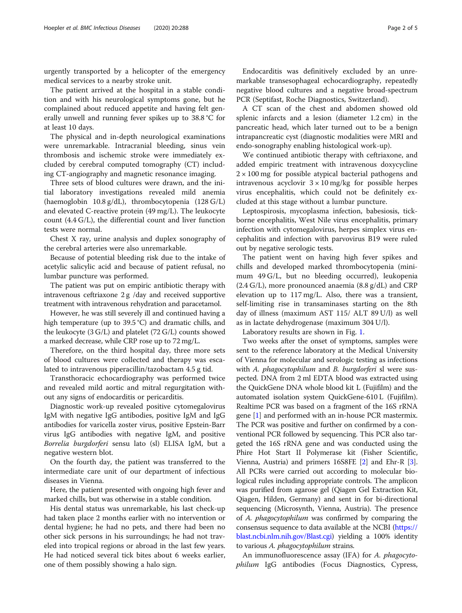urgently transported by a helicopter of the emergency

medical services to a nearby stroke unit. The patient arrived at the hospital in a stable condition and with his neurological symptoms gone, but he complained about reduced appetite and having felt generally unwell and running fever spikes up to 38.8 °C for

at least 10 days. The physical and in-depth neurological examinations were unremarkable. Intracranial bleeding, sinus vein thrombosis and ischemic stroke were immediately excluded by cerebral computed tomography (CT) including CT-angiography and magnetic resonance imaging.

Three sets of blood cultures were drawn, and the initial laboratory investigations revealed mild anemia (haemoglobin 10.8 g/dL), thrombocytopenia (128 G/L) and elevated C-reactive protein (49 mg/L). The leukocyte count (4.4 G/L), the differential count and liver function tests were normal.

Chest X ray, urine analysis and duplex sonography of the cerebral arteries were also unremarkable.

Because of potential bleeding risk due to the intake of acetylic salicylic acid and because of patient refusal, no lumbar puncture was performed.

The patient was put on empiric antibiotic therapy with intravenous ceftriaxone 2 g /day and received supportive treatment with intravenous rehydration and paracetamol.

However, he was still severely ill and continued having a high temperature (up to 39.5 °C) and dramatic chills, and the leukocyte (3 G/L) and platelet (72 G/L) counts showed a marked decrease, while CRP rose up to 72 mg/L.

Therefore, on the third hospital day, three more sets of blood cultures were collected and therapy was escalated to intravenous piperacillin/tazobactam 4.5 g tid.

Transthoracic echocardiography was performed twice and revealed mild aortic and mitral regurgitation without any signs of endocarditis or pericarditis.

Diagnostic work-up revealed positive cytomegalovirus IgM with negative IgG antibodies, positive IgM and IgG antibodies for varicella zoster virus, positive Epstein-Barr virus IgG antibodies with negative IgM, and positive Borrelia burgdorferi sensu lato (sl) ELISA IgM, but a negative western blot.

On the fourth day, the patient was transferred to the intermediate care unit of our department of infectious diseases in Vienna.

Here, the patient presented with ongoing high fever and marked chills, but was otherwise in a stable condition.

His dental status was unremarkable, his last check-up had taken place 2 months earlier with no intervention or dental hygiene; he had no pets, and there had been no other sick persons in his surroundings; he had not traveled into tropical regions or abroad in the last few years. He had noticed several tick bites about 6 weeks earlier, one of them possibly showing a halo sign.

Endocarditis was definitively excluded by an unremarkable transesophageal echocardiography, repeatedly negative blood cultures and a negative broad-spectrum PCR (Septifast, Roche Diagnostics, Switzerland).

A CT scan of the chest and abdomen showed old splenic infarcts and a lesion (diameter 1.2 cm) in the pancreatic head, which later turned out to be a benign intrapancreatic cyst (diagnostic modalities were MRI and endo-sonography enabling histological work-up).

We continued antibiotic therapy with ceftriaxone, and added empiric treatment with intravenous doxycycline  $2 \times 100$  mg for possible atypical bacterial pathogens and intravenous acyclovir  $3 \times 10$  mg/kg for possible herpes virus encephalitis, which could not be definitely excluded at this stage without a lumbar puncture.

Leptospirosis, mycoplasma infection, babesiosis, tickborne encephalitis, West Nile virus encephalitis, primary infection with cytomegalovirus, herpes simplex virus encephalitis and infection with parvovirus B19 were ruled out by negative serologic tests.

The patient went on having high fever spikes and chills and developed marked thrombocytopenia (minimum 49 G/L, but no bleeding occurred), leukopenia  $(2.4 \text{ G/L})$ , more pronounced anaemia  $(8.8 \text{ g/dL})$  and CRP elevation up to 117 mg/L. Also, there was a transient, self-limiting rise in transaminases starting on the 8th day of illness (maximum AST 115/ ALT 89 U/l) as well as in lactate dehydrogenase (maximum 304 U/l).

Laboratory results are shown in Fig. [1.](#page-2-0)

Two weeks after the onset of symptoms, samples were sent to the reference laboratory at the Medical University of Vienna for molecular and serologic testing as infections with A. *phagocytophilum* and *B. burgdorferi* sl were suspected. DNA from 2 ml EDTA blood was extracted using the QuickGene DNA whole blood kit L (Fujifilm) and the automated isolation system QuickGene-610 L (Fujifilm). Realtime PCR was based on a fragment of the 16S rRNA gene [\[1](#page-3-0)] and performed with an in-house PCR mastermix. The PCR was positive and further on confirmed by a conventional PCR followed by sequencing. This PCR also targeted the 16S rRNA gene and was conducted using the Phire Hot Start II Polymerase kit (Fisher Scientific, Vienna, Austria) and primers 16S8FE [[2\]](#page-3-0) and Ehr-R [[3](#page-3-0)]. All PCRs were carried out according to molecular biological rules including appropriate controls. The amplicon was purified from agarose gel (Qiagen Gel Extraction Kit, Qiagen, Hilden, Germany) and sent in for bi-directional sequencing (Microsynth, Vienna, Austria). The presence of A. phagocytophilum was confirmed by comparing the consensus sequence to data available at the NCBI [\(https://](https://blast.ncbi.nlm.nih.gov/Blast.cgi) [blast.ncbi.nlm.nih.gov/Blast.cgi\)](https://blast.ncbi.nlm.nih.gov/Blast.cgi) yielding a 100% identity to various A. phagocytophilum strains.

An immunofluorescence assay (IFA) for A. *phagocyto*philum IgG antibodies (Focus Diagnostics, Cypress,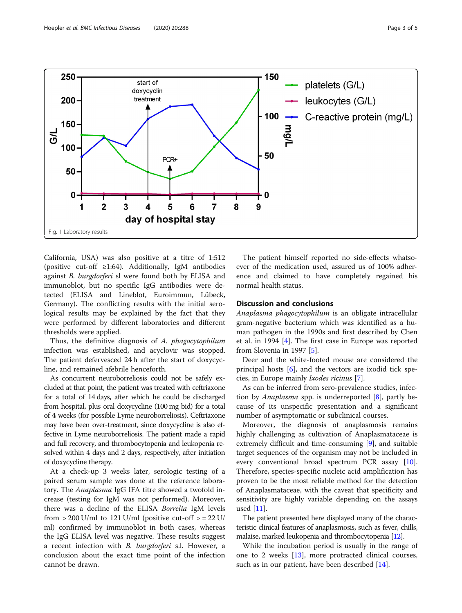<span id="page-2-0"></span>

California, USA) was also positive at a titre of 1:512 (positive cut-off ≥1:64). Additionally, IgM antibodies against B. burgdorferi sl were found both by ELISA and immunoblot, but no specific IgG antibodies were detected (ELISA and Lineblot, Euroimmun, Lübeck, Germany). The conflicting results with the initial serological results may be explained by the fact that they were performed by different laboratories and different thresholds were applied.

Thus, the definitive diagnosis of A. phagocytophilum infection was established, and acyclovir was stopped. The patient defervesced 24 h after the start of doxycycline, and remained afebrile henceforth.

As concurrent neuroborreliosis could not be safely excluded at that point, the patient was treated with ceftriaxone for a total of 14 days, after which he could be discharged from hospital, plus oral doxycycline (100 mg bid) for a total of 4 weeks (for possible Lyme neuroborreliosis). Ceftriaxone may have been over-treatment, since doxycycline is also effective in Lyme neuroborreliosis. The patient made a rapid and full recovery, and thrombocytopenia and leukopenia resolved within 4 days and 2 days, respectively, after initiation of doxycycline therapy.

At a check-up 3 weeks later, serologic testing of a paired serum sample was done at the reference laboratory. The Anaplasma IgG IFA titre showed a twofold increase (testing for IgM was not performed). Moreover, there was a decline of the ELISA Borrelia IgM levels from  $> 200$  U/ml to 121 U/ml (positive cut-off  $> = 22$  U/ ml) confirmed by immunoblot in both cases, whereas the IgG ELISA level was negative. These results suggest a recent infection with *B. burgdorferi* s.l. However, a conclusion about the exact time point of the infection cannot be drawn.

The patient himself reported no side-effects whatsoever of the medication used, assured us of 100% adherence and claimed to have completely regained his normal health status.

## Discussion and conclusions

Anaplasma phagocytophilum is an obligate intracellular gram-negative bacterium which was identified as a human pathogen in the 1990s and first described by Chen et al. in 1994 [[4\]](#page-3-0). The first case in Europe was reported from Slovenia in 1997 [\[5\]](#page-3-0).

Deer and the white-footed mouse are considered the principal hosts  $[6]$  $[6]$ , and the vectors are ixodid tick species, in Europe mainly Ixodes ricinus [\[7](#page-3-0)].

As can be inferred from sero-prevalence studies, infection by Anaplasma spp. is underreported  $[8]$  $[8]$ , partly because of its unspecific presentation and a significant number of asymptomatic or subclinical courses.

Moreover, the diagnosis of anaplasmosis remains highly challenging as cultivation of Anaplasmataceae is extremely difficult and time-consuming [\[9\]](#page-3-0), and suitable target sequences of the organism may not be included in every conventional broad spectrum PCR assay [\[10](#page-3-0)]. Therefore, species-specific nucleic acid amplification has proven to be the most reliable method for the detection of Anaplasmataceae, with the caveat that specificity and sensitivity are highly variable depending on the assays used [[11](#page-3-0)].

The patient presented here displayed many of the characteristic clinical features of anaplasmosis, such as fever, chills, malaise, marked leukopenia and thrombocytopenia [\[12\]](#page-3-0).

While the incubation period is usually in the range of one to 2 weeks [\[13](#page-3-0)], more protracted clinical courses, such as in our patient, have been described [[14](#page-3-0)].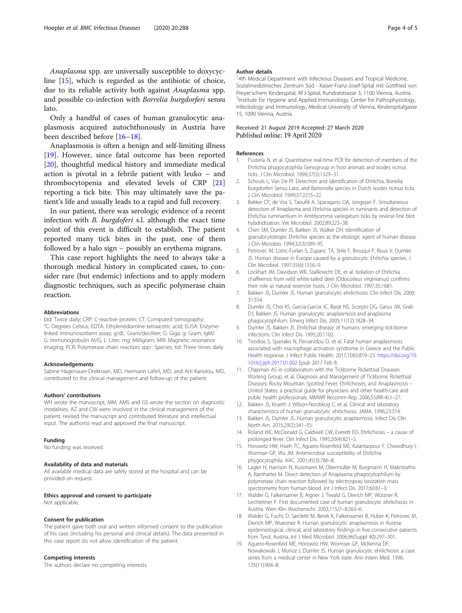<span id="page-3-0"></span>Anaplasma spp. are universally susceptible to doxycycline [15], which is regarded as the antibiotic of choice, due to its reliable activity both against Anaplasma spp. and possible co-infection with Borrelia burgdorferi sensu lato.

Only a handful of cases of human granulocytic anaplasmosis acquired autochthonously in Austria have been described before [16–18].

Anaplasmosis is often a benign and self-limiting illness [19]. However, since fatal outcome has been reported [[20\]](#page-4-0), thoughtful medical history and immediate medical action is pivotal in a febrile patient with leuko – and thrombocytopenia and elevated levels of CRP [[21](#page-4-0)] reporting a tick bite. This may ultimately save the patient's life and usually leads to a rapid and full recovery.

In our patient, there was serologic evidence of a recent infection with *B. burgdoferi* s.l. although the exact time point of this event is difficult to establish. The patient reported many tick bites in the past, one of them followed by a halo sign – possibly an erythema migrans.

This case report highlights the need to always take a thorough medical history in complicated cases, to consider rare (but endemic) infections and to apply modern diagnostic techniques, such as specific polymerase chain reaction.

#### Abbreviations

bid: Twice daily; CRP: C-reactive protein; CT: Computed tomography; °C: Degrees Celsius; EDTA: Ethylenediamine tetraacetic acid; ELISA: Enzymelinked immunosorbent assay; g/dL: Gram/deciliter; G: Giga; g: Gram; IgM/ G: Immunoglobulin M/G; L: Liter; mg: Milligram; MRI: Magnetic resonance imaging; PCR: Polymerase chain reaction; spp-: Species; tid: Three times daily

#### Acknowledgements

Sabine Hagenauer-Drektraan, MD, Hermann Laferl, MD, and Arti Kariolou, MD, contributed to the clinical management and follow-up of the patient.

#### Authors' contributions

WH wrote the manuscript, MM, AMS and GS wrote the section on diagnostic modalities, AZ and CW were involved in the clinical management of the patient, revised the manuscript and contributed literature and intellectual input. The author(s) read and approved the final manuscript.

#### Funding

No funding was received.

#### Availability of data and materials

All available medical data are safely stored at the hospital and can be provided on request.

#### Ethics approval and consent to participate

Not applicable.

#### Consent for publication

The patient gave both oral and written informed consent to the publication of his case (including his personal and clinical details). The data presented in this case report do not allow identification of the patient.

#### Competing interests

The authors declare no competing interests.

#### Author details

<sup>1</sup>4th Medical Department with Infectious Diseases and Tropical Medicine, Sozialmedizinisches Zentrum Süd - Kaiser-Franz-Josef-Spital mit Gottfried von Preyer'schem Kinderspital, KFJ-Spital, Kundratstrasse 3, 1100 Vienna, Austria. <sup>2</sup> <sup>2</sup>Institute for Hygiene and Applied Immunology, Center for Pathophysiology, Infectiology and Immunology, Medical University of Vienna, Kinderspitalgasse 15, 1090 Vienna, Austria.

#### Received: 21 August 2019 Accepted: 27 March 2020 Published online: 19 April 2020

#### References

- 1. Pusterla N, et al. Quantitative real-time PCR for detection of members of the Ehrlichia phagocytophila Genogroup in host animals and Ixodes ricinus ticks. J Clin Microbiol. 1999;37(5):1329–31.
- 2. Schouls L, Van De PI. Detection and identification of Ehrlichia, Borrelia burgdorferi Sensu Lato, and Bartonella species in Dutch Ixodes ricinus ticks. J Clin Microbiol. 1999;37:2215–22.
- 3. Bekker CP, de Vos S, Taoufik A, Sparagano OA, Jongejan F. Simultaneous detection of Anaplasma and Ehrlichia species in ruminants and detection of Ehrlichia ruminantium in Amblyomma variegatum ticks by reverse line blot hybdridization. Vet Microbiol. 2002;89:223–38.
- 4. Chen SM, Dumler JS, Bakken JS, Walker DH. Identification of granulocytotropic Ehrlichia species as the etiologic agent of human disease. J Clin Microbio. 1994;32(3):589–95.
- 5. Petrovec M, Lotric-Furlan S, Zupanc TA, Strle F, Brouqui P, Roux V, Dumler JS. Human disease in Europe caused by a granulocytic Ehrlichia species. J Clin Microbiol. 1997;35(6):1556–9.
- 6. Lockhart JM, Davidson WR, Stallknecht DE, et al. Isolation of Ehrlichia chaffeensis from wild white-tailed deer (Odocoileus virginianus) confirms their role as natural reservoir hosts. J Clin Microbiol. 1997;35:1681.
- 7. Bakken JS, Dumler JS. Human granulocytic ehrlichiosis. Clin Infect Dis. 2000; 31:554.
- 8. Dumler JS, Choi KS, Garcia-Garcia JC, Barat NS, Scorpio DG, Garyu JW, Grab DJ, Bakken JS. Human granulocytic anaplasmosis and anaplasma phagocytophilum. Emerg Infect Dis. 2005;11(12):1828–34.
- 9. Dumler JS, Bakken JS. Ehrlichial disease of humans: emerging tick-borne infections. Clin Infect Dis. 1995;20:1102.
- 10. Tsiodras S, Spanakis N, Pervanidou D, et al. Fatal human anaplasmosis associated with macrophage activation syndrome in Greece and the Public Health response. J Infect Public Health. 2017;10(6):819–23. [https://doi.org/10.](https://doi.org/10.1016/j.jiph.2017.01.002) [1016/j.jiph.2017.01.002](https://doi.org/10.1016/j.jiph.2017.01.002) Epub 2017 Feb 8.
- 11. Chapman AS in collaboration with the Tickborne Rickettsial Diseases Working Group, et al. Diagnosis and Management of Tickborne Rickettsial Diseases: Rocky Mountain Spotted Fever, Ehrlichioses, and Anaplasmosis – United States: a practical guide for physicians and other health-care and public health professionals. MMWR Recomm Rep. 2006;55(RR-4):1–27.
- 12. Bakken JS, Krueth J, Wilson-Nordskog C, et al. Clinical and laboratory characteristics of human granulocytic ehrlichiosis. JAMA. 1996;23:314.
- 13. Bakken JS, Dumler JS. Human granulocytic anaplasmosis. Infect Dis Clin North Am. 2015;29(2):341–55.
- 14. Roland WE, McDonald G, Caldwell CW, Everett ED. Ehrlichiosis a cause of prolonged fever. Clin Infect Dis. 1995;20(4):821–5.
- 15. Horowitz HW, Hsieh TC, Aguero-Rosenfeld ME, Kalantarpour F, Chowdhury I, Wormser GP, Wu JM. Antimicrobial susceptibility of Ehrlichia phygocytophila. AAC. 2001;45(3):786–8.
- 16. Lagler H, Harrison N, Kussmann M, Obermüller M, Burgmann H, Makristathis A, Ramharter M. Direct detection of Anaplasma phagocytophilum by polymerase chain reaction followed by electrospray ionization mass spectrometry from human blood. Int J Infect Dis. 2017;60:61–3.
- 17. Walder G, Falkensamer B, Aigner J, Tiwald G, Dierich MP, Würzner R, Lechleitner P. First documented case of human granulocytic ehrlichiosis in Austria. Wien Klin Wochenschr. 2003;115/7–8:263–6.
- 18. Walder G, Fuchs D, Sarcletti M, Berek K, Falkensamer B, Huber K, Petrovec M, Dierich MP, Wuerzner R. Human granulocytic anaplasmosis in Austria: epidemiological, clinical, and laboratory findings in five consecutive patients from Tyrol, Austria. Int J Med Microbiol. 2006;96(Suppl 40):297–301.
- 19. Aguero-Rosenfeld ME, Horowitz HW, Wormser GP, McKenna DF, Nowakowski J, Munoz J, Dumler JS. Human granulocytic ehrlichiosis: a case series from a medical center in New York state. Ann Intern Med. 1996; 125(11):904–8.